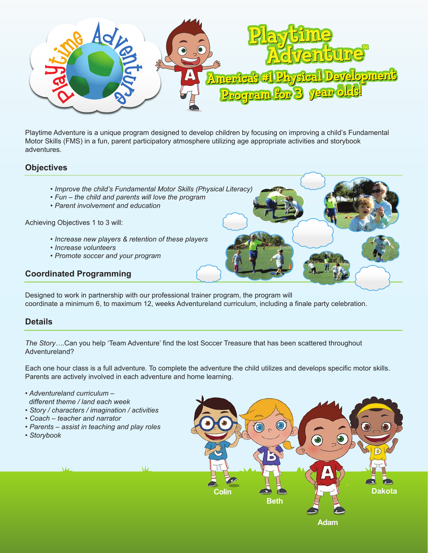

Playtime Adventure is a unique program designed to develop children by focusing on improving a child's Fundamental Motor Skills (FMS) in a fun, parent participatory atmosphere utilizing age appropriate activities and storybook adventures.

## **Objectives**

- *Improve the child's Fundamental Motor Skills (Physical Literacy)*
- *Fun the child and parents will love the program*
- *Parent involvement and education*

Achieving Objectives 1 to 3 will:

- *Increase new players & retention of these players*
- *Increase volunteers*
- *Promote soccer and your program*

#### **Coordinated Programming**

Designed to work in partnership with our professional trainer program, the program will coordinate a minimum 6, to maximum 12, weeks Adventureland curriculum, including a finale party celebration.

#### **Details**

*The Story….*Can you help 'Team Adventure' find the lost Soccer Treasure that has been scattered throughout Adventureland?

Each one hour class is a full adventure. To complete the adventure the child utilizes and develops specific motor skills. Parents are actively involved in each adventure and home learning.